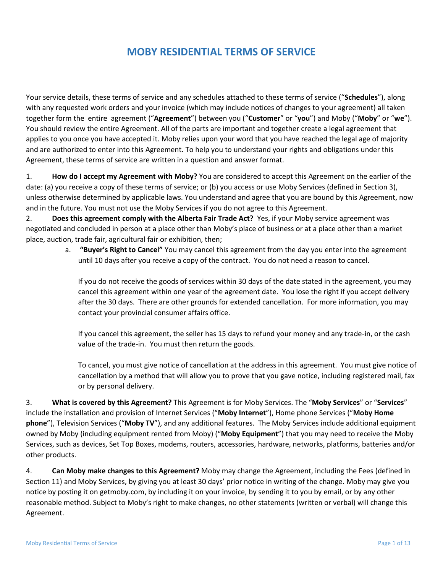# **MOBY RESIDENTIAL TERMS OF SERVICE**

Your service details, these terms of service and any schedules attached to these terms of service ("**Schedules**"), along with any requested work orders and your invoice (which may include notices of changes to your agreement) all taken together form the entire agreement ("**Agreement**") between you ("**Customer**" or "**you**") and Moby ("**Moby**" or "**we**"). You should review the entire Agreement. All of the parts are important and together create a legal agreement that applies to you once you have accepted it. Moby relies upon your word that you have reached the legal age of majority and are authorized to enter into this Agreement. To help you to understand your rights and obligations under this Agreement, these terms of service are written in a question and answer format.

1. **How do I accept my Agreement with Moby?** You are considered to accept this Agreement on the earlier of the date: (a) you receive a copy of these terms of service; or (b) you access or use Moby Services (defined in Section 3), unless otherwise determined by applicable laws. You understand and agree that you are bound by this Agreement, now and in the future. You must not use the Moby Services if you do not agree to this Agreement.

2. **Does this agreement comply with the Alberta Fair Trade Act?** Yes, if your Moby service agreement was negotiated and concluded in person at a place other than Moby's place of business or at a place other than a market place, auction, trade fair, agricultural fair or exhibition, then;

> a. **"Buyer's Right to Cancel"** You may cancel this agreement from the day you enter into the agreement until 10 days after you receive a copy of the contract. You do not need a reason to cancel.

If you do not receive the goods of services within 30 days of the date stated in the agreement, you may cancel this agreement within one year of the agreement date. You lose the right if you accept delivery after the 30 days. There are other grounds for extended cancellation. For more information, you may contact your provincial consumer affairs office.

If you cancel this agreement, the seller has 15 days to refund your money and any trade-in, or the cash value of the trade-in. You must then return the goods.

To cancel, you must give notice of cancellation at the address in this agreement. You must give notice of cancellation by a method that will allow you to prove that you gave notice, including registered mail, fax or by personal delivery.

3. **What is covered by this Agreement?** This Agreement is for Moby Services. The "**Moby Services**" or "**Services**" include the installation and provision of Internet Services ("**Moby Internet**"), Home phone Services ("**Moby Home phone**"), Television Services ("**Moby TV**"), and any additional features. The Moby Services include additional equipment owned by Moby (including equipment rented from Moby) ("**Moby Equipment**") that you may need to receive the Moby Services, such as devices, Set Top Boxes, modems, routers, accessories, hardware, networks, platforms, batteries and/or other products.

4. **Can Moby make changes to this Agreement?** Moby may change the Agreement, including the Fees (defined in Section 11) and Moby Services, by giving you at least 30 days' prior notice in writing of the change. Moby may give you notice by posting it on getmoby.com, by including it on your invoice, by sending it to you by email, or by any other reasonable method. Subject to Moby's right to make changes, no other statements (written or verbal) will change this Agreement.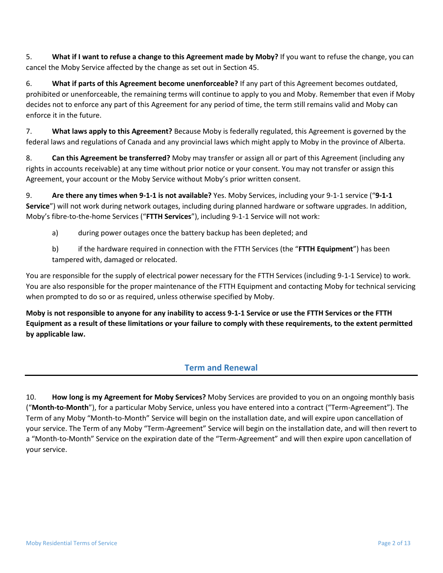5. **What if I want to refuse a change to this Agreement made by Moby?** If you want to refuse the change, you can cancel the Moby Service affected by the change as set out in Section 45.

6. **What if parts of this Agreement become unenforceable?** If any part of this Agreement becomes outdated, prohibited or unenforceable, the remaining terms will continue to apply to you and Moby. Remember that even if Moby decides not to enforce any part of this Agreement for any period of time, the term still remains valid and Moby can enforce it in the future.

7. **What laws apply to this Agreement?** Because Moby is federally regulated, this Agreement is governed by the federal laws and regulations of Canada and any provincial laws which might apply to Moby in the province of Alberta.

8. **Can this Agreement be transferred?** Moby may transfer or assign all or part of this Agreement (including any rights in accounts receivable) at any time without prior notice or your consent. You may not transfer or assign this Agreement, your account or the Moby Service without Moby's prior written consent.

9. **Are there any times when 9-1-1 is not available?** Yes. Moby Services, including your 9-1-1 service ("**9-1-1 Service**") will not work during network outages, including during planned hardware or software upgrades. In addition, Moby's fibre-to-the-home Services ("**FTTH Services**"), including 9-1-1 Service will not work:

a) during power outages once the battery backup has been depleted; and

b) if the hardware required in connection with the FTTH Services (the "**FTTH Equipment**") has been tampered with, damaged or relocated.

You are responsible for the supply of electrical power necessary for the FTTH Services (including 9-1-1 Service) to work. You are also responsible for the proper maintenance of the FTTH Equipment and contacting Moby for technical servicing when prompted to do so or as required, unless otherwise specified by Moby.

**Moby is not responsible to anyone for any inability to access 9-1-1 Service or use the FTTH Services or the FTTH Equipment as a result of these limitations or your failure to comply with these requirements, to the extent permitted by applicable law.**

### **Term and Renewal**

10. **How long is my Agreement for Moby Services?** Moby Services are provided to you on an ongoing monthly basis ("**Month-to-Month**"), for a particular Moby Service, unless you have entered into a contract ("Term-Agreement"). The Term of any Moby "Month-to-Month" Service will begin on the installation date, and will expire upon cancellation of your service. The Term of any Moby "Term-Agreement" Service will begin on the installation date, and will then revert to a "Month-to-Month" Service on the expiration date of the "Term-Agreement" and will then expire upon cancellation of your service.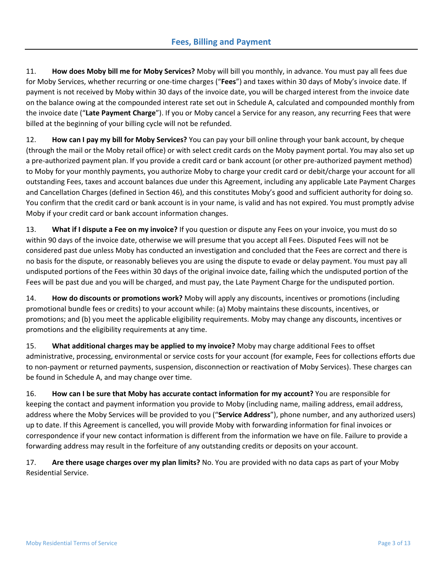11. **How does Moby bill me for Moby Services?** Moby will bill you monthly, in advance. You must pay all fees due for Moby Services, whether recurring or one-time charges ("**Fees**") and taxes within 30 days of Moby's invoice date. If payment is not received by Moby within 30 days of the invoice date, you will be charged interest from the invoice date on the balance owing at the compounded interest rate set out in Schedule A, calculated and compounded monthly from the invoice date ("**Late Payment Charge**"). If you or Moby cancel a Service for any reason, any recurring Fees that were billed at the beginning of your billing cycle will not be refunded.

12. **How can I pay my bill for Moby Services?** You can pay your bill online through your bank account, by cheque (through the mail or the Moby retail office) or with select credit cards on the Moby payment portal. You may also set up a pre-authorized payment plan. If you provide a credit card or bank account (or other pre-authorized payment method) to Moby for your monthly payments, you authorize Moby to charge your credit card or debit/charge your account for all outstanding Fees, taxes and account balances due under this Agreement, including any applicable Late Payment Charges and Cancellation Charges (defined in Section 46), and this constitutes Moby's good and sufficient authority for doing so. You confirm that the credit card or bank account is in your name, is valid and has not expired. You must promptly advise Moby if your credit card or bank account information changes.

13. **What if I dispute a Fee on my invoice?** If you question or dispute any Fees on your invoice, you must do so within 90 days of the invoice date, otherwise we will presume that you accept all Fees. Disputed Fees will not be considered past due unless Moby has conducted an investigation and concluded that the Fees are correct and there is no basis for the dispute, or reasonably believes you are using the dispute to evade or delay payment. You must pay all undisputed portions of the Fees within 30 days of the original invoice date, failing which the undisputed portion of the Fees will be past due and you will be charged, and must pay, the Late Payment Charge for the undisputed portion.

14. **How do discounts or promotions work?** Moby will apply any discounts, incentives or promotions (including promotional bundle fees or credits) to your account while: (a) Moby maintains these discounts, incentives, or promotions; and (b) you meet the applicable eligibility requirements. Moby may change any discounts, incentives or promotions and the eligibility requirements at any time.

15. **What additional charges may be applied to my invoice?** Moby may charge additional Fees to offset administrative, processing, environmental or service costs for your account (for example, Fees for collections efforts due to non-payment or returned payments, suspension, disconnection or reactivation of Moby Services). These charges can be found in Schedule A, and may change over time.

16. **How can I be sure that Moby has accurate contact information for my account?** You are responsible for keeping the contact and payment information you provide to Moby (including name, mailing address, email address, address where the Moby Services will be provided to you ("**Service Address**"), phone number, and any authorized users) up to date. If this Agreement is cancelled, you will provide Moby with forwarding information for final invoices or correspondence if your new contact information is different from the information we have on file. Failure to provide a forwarding address may result in the forfeiture of any outstanding credits or deposits on your account.

17. **Are there usage charges over my plan limits?** No. You are provided with no data caps as part of your Moby Residential Service.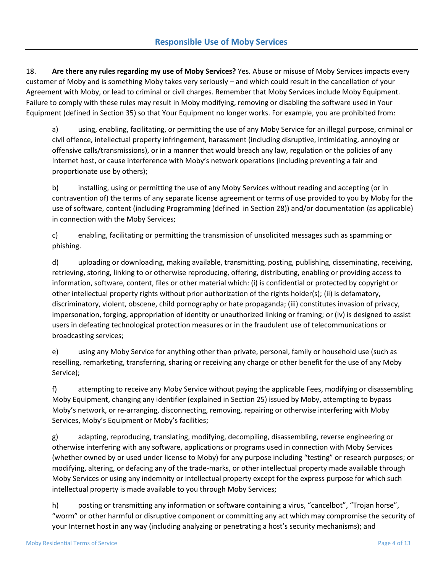18. **Are there any rules regarding my use of Moby Services?** Yes. Abuse or misuse of Moby Services impacts every customer of Moby and is something Moby takes very seriously – and which could result in the cancellation of your Agreement with Moby, or lead to criminal or civil charges. Remember that Moby Services include Moby Equipment. Failure to comply with these rules may result in Moby modifying, removing or disabling the software used in Your Equipment (defined in Section 35) so that Your Equipment no longer works. For example, you are prohibited from:

a) using, enabling, facilitating, or permitting the use of any Moby Service for an illegal purpose, criminal or civil offence, intellectual property infringement, harassment (including disruptive, intimidating, annoying or offensive calls/transmissions), or in a manner that would breach any law, regulation or the policies of any Internet host, or cause interference with Moby's network operations (including preventing a fair and proportionate use by others);

b) installing, using or permitting the use of any Moby Services without reading and accepting (or in contravention of) the terms of any separate license agreement or terms of use provided to you by Moby for the use of software, content (including Programming (defined in Section 28)) and/or documentation (as applicable) in connection with the Moby Services;

c) enabling, facilitating or permitting the transmission of unsolicited messages such as spamming or phishing.

d) uploading or downloading, making available, transmitting, posting, publishing, disseminating, receiving, retrieving, storing, linking to or otherwise reproducing, offering, distributing, enabling or providing access to information, software, content, files or other material which: (i) is confidential or protected by copyright or other intellectual property rights without prior authorization of the rights holder(s); (ii) is defamatory, discriminatory, violent, obscene, child pornography or hate propaganda; (iii) constitutes invasion of privacy, impersonation, forging, appropriation of identity or unauthorized linking or framing; or (iv) is designed to assist users in defeating technological protection measures or in the fraudulent use of telecommunications or broadcasting services;

e) using any Moby Service for anything other than private, personal, family or household use (such as reselling, remarketing, transferring, sharing or receiving any charge or other benefit for the use of any Moby Service);

f) attempting to receive any Moby Service without paying the applicable Fees, modifying or disassembling Moby Equipment, changing any identifier (explained in Section 25) issued by Moby, attempting to bypass Moby's network, or re-arranging, disconnecting, removing, repairing or otherwise interfering with Moby Services, Moby's Equipment or Moby's facilities;

g) adapting, reproducing, translating, modifying, decompiling, disassembling, reverse engineering or otherwise interfering with any software, applications or programs used in connection with Moby Services (whether owned by or used under license to Moby) for any purpose including "testing" or research purposes; or modifying, altering, or defacing any of the trade-marks, or other intellectual property made available through Moby Services or using any indemnity or intellectual property except for the express purpose for which such intellectual property is made available to you through Moby Services;

h) posting or transmitting any information or software containing a virus, "cancelbot", "Trojan horse", "worm" or other harmful or disruptive component or committing any act which may compromise the security of your Internet host in any way (including analyzing or penetrating a host's security mechanisms); and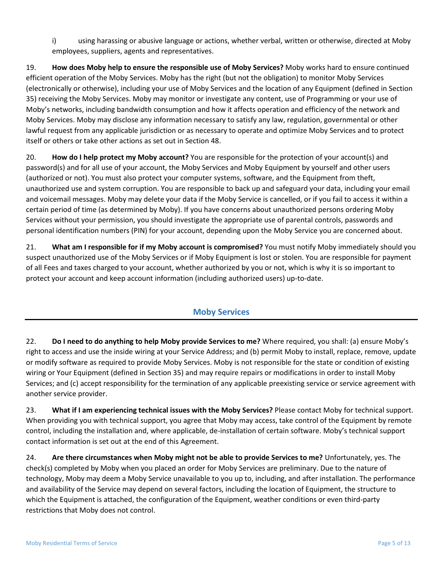i) using harassing or abusive language or actions, whether verbal, written or otherwise, directed at Moby employees, suppliers, agents and representatives.

19. **How does Moby help to ensure the responsible use of Moby Services?** Moby works hard to ensure continued efficient operation of the Moby Services. Moby has the right (but not the obligation) to monitor Moby Services (electronically or otherwise), including your use of Moby Services and the location of any Equipment (defined in Section 35) receiving the Moby Services. Moby may monitor or investigate any content, use of Programming or your use of Moby's networks, including bandwidth consumption and how it affects operation and efficiency of the network and Moby Services. Moby may disclose any information necessary to satisfy any law, regulation, governmental or other lawful request from any applicable jurisdiction or as necessary to operate and optimize Moby Services and to protect itself or others or take other actions as set out in Section 48.

20. **How do I help protect my Moby account?** You are responsible for the protection of your account(s) and password(s) and for all use of your account, the Moby Services and Moby Equipment by yourself and other users (authorized or not). You must also protect your computer systems, software, and the Equipment from theft, unauthorized use and system corruption. You are responsible to back up and safeguard your data, including your email and voicemail messages. Moby may delete your data if the Moby Service is cancelled, or if you fail to access it within a certain period of time (as determined by Moby). If you have concerns about unauthorized persons ordering Moby Services without your permission, you should investigate the appropriate use of parental controls, passwords and personal identification numbers (PIN) for your account, depending upon the Moby Service you are concerned about.

21. **What am I responsible for if my Moby account is compromised?** You must notify Moby immediately should you suspect unauthorized use of the Moby Services or if Moby Equipment is lost or stolen. You are responsible for payment of all Fees and taxes charged to your account, whether authorized by you or not, which is why it is so important to protect your account and keep account information (including authorized users) up-to-date.

### **Moby Services**

22. **Do I need to do anything to help Moby provide Services to me?** Where required, you shall: (a) ensure Moby's right to access and use the inside wiring at your Service Address; and (b) permit Moby to install, replace, remove, update or modify software as required to provide Moby Services. Moby is not responsible for the state or condition of existing wiring or Your Equipment (defined in Section 35) and may require repairs or modifications in order to install Moby Services; and (c) accept responsibility for the termination of any applicable preexisting service or service agreement with another service provider.

23. **What if I am experiencing technical issues with the Moby Services?** Please contact Moby for technical support. When providing you with technical support, you agree that Moby may access, take control of the Equipment by remote control, including the installation and, where applicable, de-installation of certain software. Moby's technical support contact information is set out at the end of this Agreement.

24. **Are there circumstances when Moby might not be able to provide Services to me?** Unfortunately, yes. The check(s) completed by Moby when you placed an order for Moby Services are preliminary. Due to the nature of technology, Moby may deem a Moby Service unavailable to you up to, including, and after installation. The performance and availability of the Service may depend on several factors, including the location of Equipment, the structure to which the Equipment is attached, the configuration of the Equipment, weather conditions or even third-party restrictions that Moby does not control.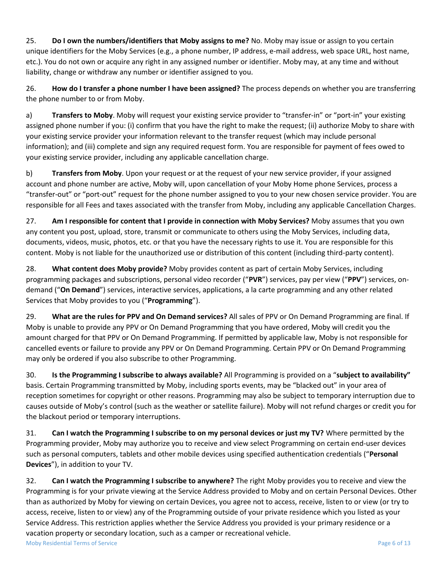25. **Do I own the numbers/identifiers that Moby assigns to me?** No. Moby may issue or assign to you certain unique identifiers for the Moby Services (e.g., a phone number, IP address, e-mail address, web space URL, host name, etc.). You do not own or acquire any right in any assigned number or identifier. Moby may, at any time and without liability, change or withdraw any number or identifier assigned to you.

26. **How do I transfer a phone number I have been assigned?** The process depends on whether you are transferring the phone number to or from Moby.

a) **Transfers to Moby**. Moby will request your existing service provider to "transfer-in" or "port-in" your existing assigned phone number if you: (i) confirm that you have the right to make the request; (ii) authorize Moby to share with your existing service provider your information relevant to the transfer request (which may include personal information); and (iii) complete and sign any required request form. You are responsible for payment of fees owed to your existing service provider, including any applicable cancellation charge.

b) **Transfers from Moby**. Upon your request or at the request of your new service provider, if your assigned account and phone number are active, Moby will, upon cancellation of your Moby Home phone Services, process a "transfer-out" or "port-out" request for the phone number assigned to you to your new chosen service provider. You are responsible for all Fees and taxes associated with the transfer from Moby, including any applicable Cancellation Charges.

27. **Am I responsible for content that I provide in connection with Moby Services?** Moby assumes that you own any content you post, upload, store, transmit or communicate to others using the Moby Services, including data, documents, videos, music, photos, etc. or that you have the necessary rights to use it. You are responsible for this content. Moby is not liable for the unauthorized use or distribution of this content (including third-party content).

28. **What content does Moby provide?** Moby provides content as part of certain Moby Services, including programming packages and subscriptions, personal video recorder ("**PVR**") services, pay per view ("**PPV**") services, ondemand ("**On Demand**") services, interactive services, applications, a la carte programming and any other related Services that Moby provides to you ("**Programming**").

29. **What are the rules for PPV and On Demand services?** All sales of PPV or On Demand Programming are final. If Moby is unable to provide any PPV or On Demand Programming that you have ordered, Moby will credit you the amount charged for that PPV or On Demand Programming. If permitted by applicable law, Moby is not responsible for cancelled events or failure to provide any PPV or On Demand Programming. Certain PPV or On Demand Programming may only be ordered if you also subscribe to other Programming.

30. **Is the Programming I subscribe to always available?** All Programming is provided on a "**subject to availability"** basis. Certain Programming transmitted by Moby, including sports events, may be "blacked out" in your area of reception sometimes for copyright or other reasons. Programming may also be subject to temporary interruption due to causes outside of Moby's control (such as the weather or satellite failure). Moby will not refund charges or credit you for the blackout period or temporary interruptions.

31. **Can I watch the Programming I subscribe to on my personal devices or just my TV?** Where permitted by the Programming provider, Moby may authorize you to receive and view select Programming on certain end-user devices such as personal computers, tablets and other mobile devices using specified authentication credentials ("**Personal Devices**"), in addition to your TV.

32. **Can I watch the Programming I subscribe to anywhere?** The right Moby provides you to receive and view the Programming is for your private viewing at the Service Address provided to Moby and on certain Personal Devices. Other than as authorized by Moby for viewing on certain Devices, you agree not to access, receive, listen to or view (or try to access, receive, listen to or view) any of the Programming outside of your private residence which you listed as your Service Address. This restriction applies whether the Service Address you provided is your primary residence or a vacation property or secondary location, such as a camper or recreational vehicle.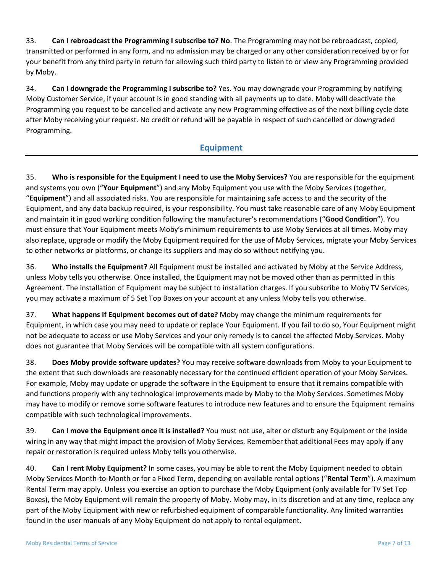33. **Can I rebroadcast the Programming I subscribe to? No**. The Programming may not be rebroadcast, copied, transmitted or performed in any form, and no admission may be charged or any other consideration received by or for your benefit from any third party in return for allowing such third party to listen to or view any Programming provided by Moby.

34. **Can I downgrade the Programming I subscribe to?** Yes. You may downgrade your Programming by notifying Moby Customer Service, if your account is in good standing with all payments up to date. Moby will deactivate the Programming you request to be cancelled and activate any new Programming effective as of the next billing cycle date after Moby receiving your request. No credit or refund will be payable in respect of such cancelled or downgraded Programming.

### **Equipment**

35. **Who is responsible for the Equipment I need to use the Moby Services?** You are responsible for the equipment and systems you own ("**Your Equipment**") and any Moby Equipment you use with the Moby Services (together, "**Equipment**") and all associated risks. You are responsible for maintaining safe access to and the security of the Equipment, and any data backup required, is your responsibility. You must take reasonable care of any Moby Equipment and maintain it in good working condition following the manufacturer's recommendations ("**Good Condition**"). You must ensure that Your Equipment meets Moby's minimum requirements to use Moby Services at all times. Moby may also replace, upgrade or modify the Moby Equipment required for the use of Moby Services, migrate your Moby Services to other networks or platforms, or change its suppliers and may do so without notifying you.

36. **Who installs the Equipment?** All Equipment must be installed and activated by Moby at the Service Address, unless Moby tells you otherwise. Once installed, the Equipment may not be moved other than as permitted in this Agreement. The installation of Equipment may be subject to installation charges. If you subscribe to Moby TV Services, you may activate a maximum of 5 Set Top Boxes on your account at any unless Moby tells you otherwise.

37. **What happens if Equipment becomes out of date?** Moby may change the minimum requirements for Equipment, in which case you may need to update or replace Your Equipment. If you fail to do so, Your Equipment might not be adequate to access or use Moby Services and your only remedy is to cancel the affected Moby Services. Moby does not guarantee that Moby Services will be compatible with all system configurations.

38. **Does Moby provide software updates?** You may receive software downloads from Moby to your Equipment to the extent that such downloads are reasonably necessary for the continued efficient operation of your Moby Services. For example, Moby may update or upgrade the software in the Equipment to ensure that it remains compatible with and functions properly with any technological improvements made by Moby to the Moby Services. Sometimes Moby may have to modify or remove some software features to introduce new features and to ensure the Equipment remains compatible with such technological improvements.

39. **Can I move the Equipment once it is installed?** You must not use, alter or disturb any Equipment or the inside wiring in any way that might impact the provision of Moby Services. Remember that additional Fees may apply if any repair or restoration is required unless Moby tells you otherwise.

40. **Can I rent Moby Equipment?** In some cases, you may be able to rent the Moby Equipment needed to obtain Moby Services Month-to-Month or for a Fixed Term, depending on available rental options ("**Rental Term**"). A maximum Rental Term may apply. Unless you exercise an option to purchase the Moby Equipment (only available for TV Set Top Boxes), the Moby Equipment will remain the property of Moby. Moby may, in its discretion and at any time, replace any part of the Moby Equipment with new or refurbished equipment of comparable functionality. Any limited warranties found in the user manuals of any Moby Equipment do not apply to rental equipment.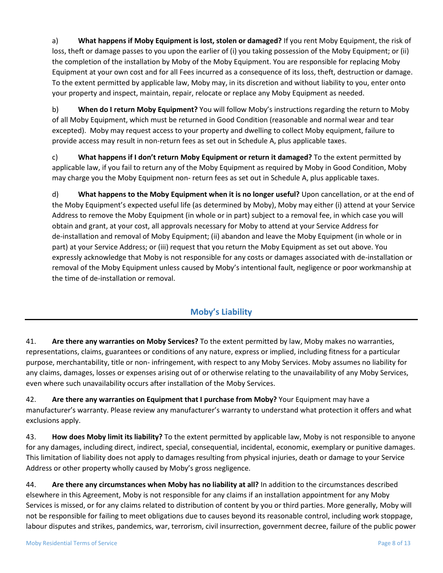a) **What happens if Moby Equipment is lost, stolen or damaged?** If you rent Moby Equipment, the risk of loss, theft or damage passes to you upon the earlier of (i) you taking possession of the Moby Equipment; or (ii) the completion of the installation by Moby of the Moby Equipment. You are responsible for replacing Moby Equipment at your own cost and for all Fees incurred as a consequence of its loss, theft, destruction or damage. To the extent permitted by applicable law, Moby may, in its discretion and without liability to you, enter onto your property and inspect, maintain, repair, relocate or replace any Moby Equipment as needed.

b) **When do I return Moby Equipment?** You will follow Moby's instructions regarding the return to Moby of all Moby Equipment, which must be returned in Good Condition (reasonable and normal wear and tear excepted). Moby may request access to your property and dwelling to collect Moby equipment, failure to provide access may result in non-return fees as set out in Schedule A, plus applicable taxes.

c) **What happens if I don't return Moby Equipment or return it damaged?** To the extent permitted by applicable law, if you fail to return any of the Moby Equipment as required by Moby in Good Condition, Moby may charge you the Moby Equipment non- return fees as set out in Schedule A, plus applicable taxes.

d) **What happens to the Moby Equipment when it is no longer useful?** Upon cancellation, or at the end of the Moby Equipment's expected useful life (as determined by Moby), Moby may either (i) attend at your Service Address to remove the Moby Equipment (in whole or in part) subject to a removal fee, in which case you will obtain and grant, at your cost, all approvals necessary for Moby to attend at your Service Address for de-installation and removal of Moby Equipment; (ii) abandon and leave the Moby Equipment (in whole or in part) at your Service Address; or (iii) request that you return the Moby Equipment as set out above. You expressly acknowledge that Moby is not responsible for any costs or damages associated with de-installation or removal of the Moby Equipment unless caused by Moby's intentional fault, negligence or poor workmanship at the time of de-installation or removal.

## **Moby's Liability**

41. **Are there any warranties on Moby Services?** To the extent permitted by law, Moby makes no warranties, representations, claims, guarantees or conditions of any nature, express or implied, including fitness for a particular purpose, merchantability, title or non- infringement, with respect to any Moby Services. Moby assumes no liability for any claims, damages, losses or expenses arising out of or otherwise relating to the unavailability of any Moby Services, even where such unavailability occurs after installation of the Moby Services.

42. **Are there any warranties on Equipment that I purchase from Moby?** Your Equipment may have a manufacturer's warranty. Please review any manufacturer's warranty to understand what protection it offers and what exclusions apply.

43. **How does Moby limit its liability?** To the extent permitted by applicable law, Moby is not responsible to anyone for any damages, including direct, indirect, special, consequential, incidental, economic, exemplary or punitive damages. This limitation of liability does not apply to damages resulting from physical injuries, death or damage to your Service Address or other property wholly caused by Moby's gross negligence.

44. **Are there any circumstances when Moby has no liability at all?** In addition to the circumstances described elsewhere in this Agreement, Moby is not responsible for any claims if an installation appointment for any Moby Services is missed, or for any claims related to distribution of content by you or third parties. More generally, Moby will not be responsible for failing to meet obligations due to causes beyond its reasonable control, including work stoppage, labour disputes and strikes, pandemics, war, terrorism, civil insurrection, government decree, failure of the public power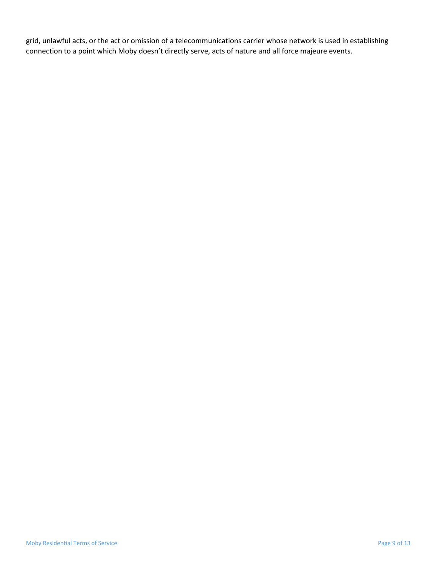grid, unlawful acts, or the act or omission of a telecommunications carrier whose network is used in establishing connection to a point which Moby doesn't directly serve, acts of nature and all force majeure events.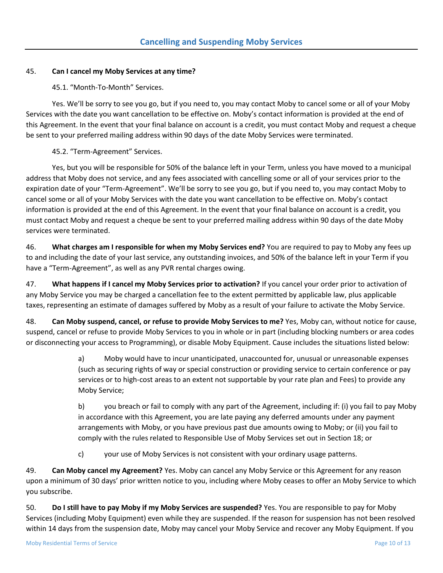#### 45. **Can I cancel my Moby Services at any time?**

45.1. "Month-To-Month" Services.

Yes. We'll be sorry to see you go, but if you need to, you may contact Moby to cancel some or all of your Moby Services with the date you want cancellation to be effective on. Moby's contact information is provided at the end of this Agreement. In the event that your final balance on account is a credit, you must contact Moby and request a cheque be sent to your preferred mailing address within 90 days of the date Moby Services were terminated.

45.2. "Term-Agreement" Services.

Yes, but you will be responsible for 50% of the balance left in your Term, unless you have moved to a municipal address that Moby does not service, and any fees associated with cancelling some or all of your services prior to the expiration date of your "Term-Agreement". We'll be sorry to see you go, but if you need to, you may contact Moby to cancel some or all of your Moby Services with the date you want cancellation to be effective on. Moby's contact information is provided at the end of this Agreement. In the event that your final balance on account is a credit, you must contact Moby and request a cheque be sent to your preferred mailing address within 90 days of the date Moby services were terminated.

46. **What charges am I responsible for when my Moby Services end?** You are required to pay to Moby any fees up to and including the date of your last service, any outstanding invoices, and 50% of the balance left in your Term if you have a "Term-Agreement", as well as any PVR rental charges owing.

47. **What happens if I cancel my Moby Services prior to activation?** If you cancel your order prior to activation of any Moby Service you may be charged a cancellation fee to the extent permitted by applicable law, plus applicable taxes, representing an estimate of damages suffered by Moby as a result of your failure to activate the Moby Service.

48. **Can Moby suspend, cancel, or refuse to provide Moby Services to me?** Yes, Moby can, without notice for cause, suspend, cancel or refuse to provide Moby Services to you in whole or in part (including blocking numbers or area codes or disconnecting your access to Programming), or disable Moby Equipment. Cause includes the situations listed below:

> a) Moby would have to incur unanticipated, unaccounted for, unusual or unreasonable expenses (such as securing rights of way or special construction or providing service to certain conference or pay services or to high-cost areas to an extent not supportable by your rate plan and Fees) to provide any Moby Service;

b) you breach or fail to comply with any part of the Agreement, including if: (i) you fail to pay Moby in accordance with this Agreement, you are late paying any deferred amounts under any payment arrangements with Moby, or you have previous past due amounts owing to Moby; or (ii) you fail to comply with the rules related to Responsible Use of Moby Services set out in Section 18; or

c) your use of Moby Services is not consistent with your ordinary usage patterns.

49. **Can Moby cancel my Agreement?** Yes. Moby can cancel any Moby Service or this Agreement for any reason upon a minimum of 30 days' prior written notice to you, including where Moby ceases to offer an Moby Service to which you subscribe.

50. **Do I still have to pay Moby if my Moby Services are suspended?** Yes. You are responsible to pay for Moby Services (including Moby Equipment) even while they are suspended. If the reason for suspension has not been resolved within 14 days from the suspension date, Moby may cancel your Moby Service and recover any Moby Equipment. If you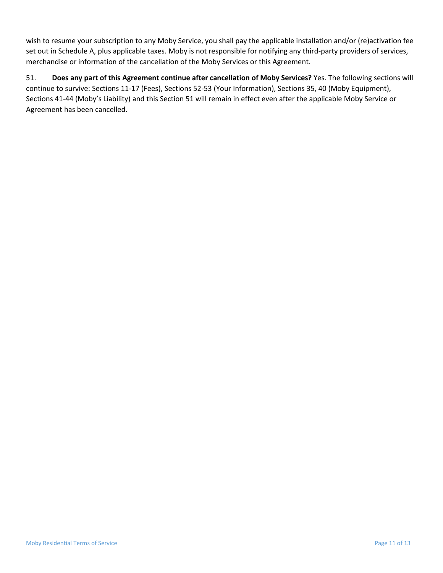wish to resume your subscription to any Moby Service, you shall pay the applicable installation and/or (re)activation fee set out in Schedule A, plus applicable taxes. Moby is not responsible for notifying any third-party providers of services, merchandise or information of the cancellation of the Moby Services or this Agreement.

51. **Does any part of this Agreement continue after cancellation of Moby Services?** Yes. The following sections will continue to survive: Sections 11-17 (Fees), Sections 52-53 (Your Information), Sections 35, 40 (Moby Equipment), Sections 41-44 (Moby's Liability) and this Section 51 will remain in effect even after the applicable Moby Service or Agreement has been cancelled.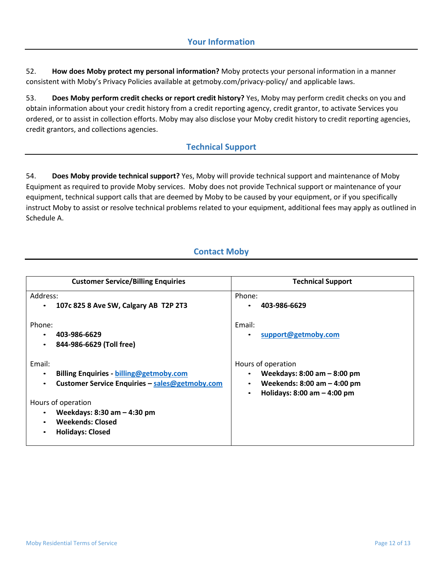52. **How does Moby protect my personal information?** Moby protects your personal information in a manner consistent with Moby's Privacy Policies available at getmoby.com/privacy-policy/ and applicable laws.

53. **Does Moby perform credit checks or report credit history?** Yes, Moby may perform credit checks on you and obtain information about your credit history from a credit reporting agency, credit grantor, to activate Services you ordered, or to assist in collection efforts. Moby may also disclose your Moby credit history to credit reporting agencies, credit grantors, and collections agencies.

### **Technical Support**

54. **Does Moby provide technical support?** Yes, Moby will provide technical support and maintenance of Moby Equipment as required to provide Moby services. Moby does not provide Technical support or maintenance of your equipment, technical support calls that are deemed by Moby to be caused by your equipment, or if you specifically instruct Moby to assist or resolve technical problems related to your equipment, additional fees may apply as outlined in Schedule A.

### **Contact Moby**

| <b>Customer Service/Billing Enquiries</b>                                                                                                                                                      | <b>Technical Support</b>                                                                                                  |
|------------------------------------------------------------------------------------------------------------------------------------------------------------------------------------------------|---------------------------------------------------------------------------------------------------------------------------|
| Address:<br>107c 825 8 Ave SW, Calgary AB T2P 2T3<br>$\bullet$                                                                                                                                 | Phone:<br>403-986-6629                                                                                                    |
| Phone:<br>403-986-6629<br>$\bullet$<br>844-986-6629 (Toll free)<br>$\bullet$                                                                                                                   | Email:<br>support@getmoby.com<br>$\bullet$                                                                                |
| Email:<br><b>Billing Enquiries - billing@getmoby.com</b><br>٠<br>Customer Service Enquiries - sales@getmoby.com<br>$\bullet$<br>Hours of operation<br>Weekdays: 8:30 am - 4:30 pm<br>$\bullet$ | Hours of operation<br>Weekdays: $8:00$ am $-8:00$ pm<br>Weekends: $8:00$ am $-$ 4:00 pm<br>Holidays: $8:00$ am $-4:00$ pm |
| <b>Weekends: Closed</b><br>$\bullet$<br><b>Holidays: Closed</b><br>$\bullet$                                                                                                                   |                                                                                                                           |